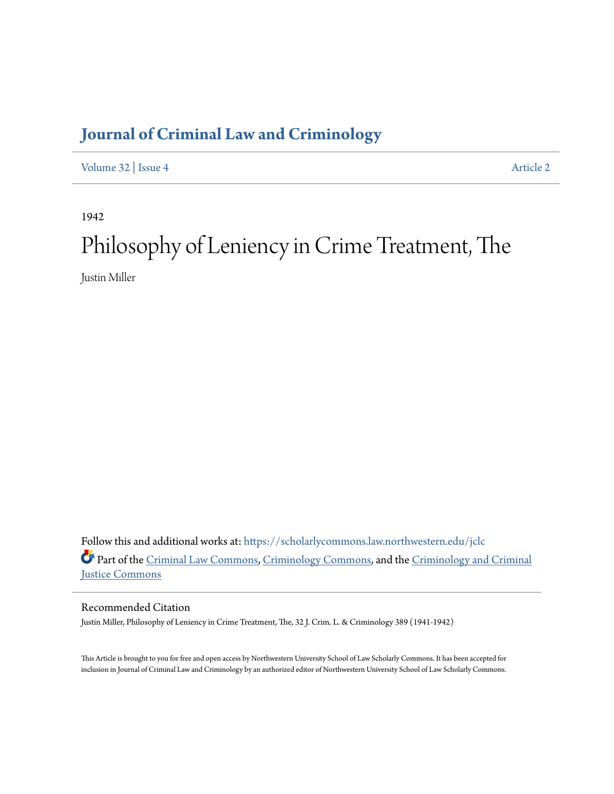## **[Journal of Criminal Law and Criminology](https://scholarlycommons.law.northwestern.edu/jclc?utm_source=scholarlycommons.law.northwestern.edu%2Fjclc%2Fvol32%2Fiss4%2F2&utm_medium=PDF&utm_campaign=PDFCoverPages)**

[Volume 32](https://scholarlycommons.law.northwestern.edu/jclc/vol32?utm_source=scholarlycommons.law.northwestern.edu%2Fjclc%2Fvol32%2Fiss4%2F2&utm_medium=PDF&utm_campaign=PDFCoverPages) | [Issue 4](https://scholarlycommons.law.northwestern.edu/jclc/vol32/iss4?utm_source=scholarlycommons.law.northwestern.edu%2Fjclc%2Fvol32%2Fiss4%2F2&utm_medium=PDF&utm_campaign=PDFCoverPages) [Article 2](https://scholarlycommons.law.northwestern.edu/jclc/vol32/iss4/2?utm_source=scholarlycommons.law.northwestern.edu%2Fjclc%2Fvol32%2Fiss4%2F2&utm_medium=PDF&utm_campaign=PDFCoverPages)

1942

# Philosophy of Leniency in Crime Treatment, The

Justin Miller

Follow this and additional works at: [https://scholarlycommons.law.northwestern.edu/jclc](https://scholarlycommons.law.northwestern.edu/jclc?utm_source=scholarlycommons.law.northwestern.edu%2Fjclc%2Fvol32%2Fiss4%2F2&utm_medium=PDF&utm_campaign=PDFCoverPages) Part of the [Criminal Law Commons](http://network.bepress.com/hgg/discipline/912?utm_source=scholarlycommons.law.northwestern.edu%2Fjclc%2Fvol32%2Fiss4%2F2&utm_medium=PDF&utm_campaign=PDFCoverPages), [Criminology Commons](http://network.bepress.com/hgg/discipline/417?utm_source=scholarlycommons.law.northwestern.edu%2Fjclc%2Fvol32%2Fiss4%2F2&utm_medium=PDF&utm_campaign=PDFCoverPages), and the [Criminology and Criminal](http://network.bepress.com/hgg/discipline/367?utm_source=scholarlycommons.law.northwestern.edu%2Fjclc%2Fvol32%2Fiss4%2F2&utm_medium=PDF&utm_campaign=PDFCoverPages) [Justice Commons](http://network.bepress.com/hgg/discipline/367?utm_source=scholarlycommons.law.northwestern.edu%2Fjclc%2Fvol32%2Fiss4%2F2&utm_medium=PDF&utm_campaign=PDFCoverPages)

Recommended Citation

Justin Miller, Philosophy of Leniency in Crime Treatment, The, 32 J. Crim. L. & Criminology 389 (1941-1942)

This Article is brought to you for free and open access by Northwestern University School of Law Scholarly Commons. It has been accepted for inclusion in Journal of Criminal Law and Criminology by an authorized editor of Northwestern University School of Law Scholarly Commons.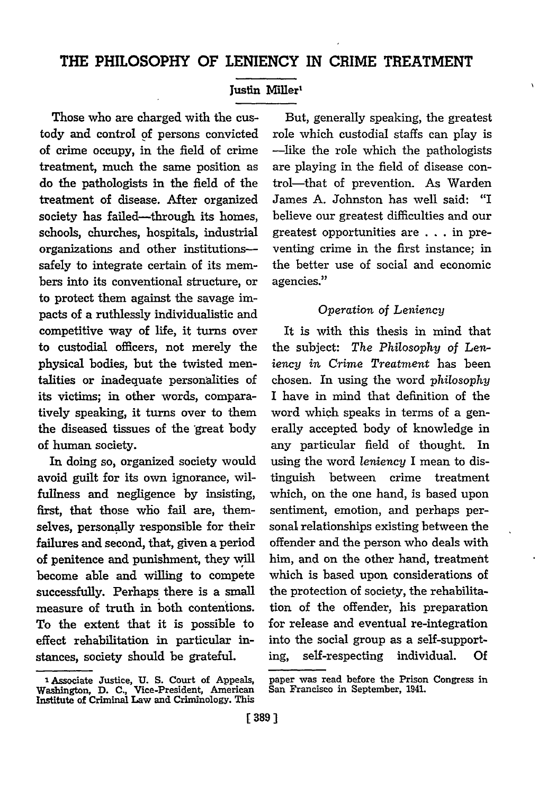### THE PHILOSOPHY OF **LENIENCY IN** CRIME TREATMENT

#### Justin Miller<sup>1</sup>

Those who are charged with the custody and control of persons convicted of crime occupy, in the field of crime treatment, much the same position as do the pathologists in the field of the treatment of disease. After organized society has failed-through its homes, schools, churches, hospitals, industrial organizations and other institutionssafely to integrate certain of its members into its conventional structure, or to protect them against the savage impacts of a ruthlessly individualistic and competitive way of life, it turns over to custodial officers, not merely the physical bodies, but the twisted mentalities or inadequate personalities of its victims; in other words, comparatively speaking, it turns over to them the diseased tissues of the 'great body of human society.

In doing so, organized society would avoid guilt for its own ignorance, wilfullness and negligence by insisting, first, that those who fail are, themselves, personally responsible for their failures and second, that, given a period of penitence and punishment, they will become able and willing to compete successfully. Perhaps there is a small measure of truth in both contentions. To the extent that it is possible to effect rehabilitation in particular instances, society should be grateful.

But, generally speaking, the greatest role which custodial staffs can play is -like the role which the pathologists are playing in the field of disease control-that of prevention. As Warden James A. Johnston has well said: "I believe our greatest difficulties and our greatest opportunities are . **.** . in preventing crime in the first instance; in the better use of social and economic agencies."

#### *Operation* of *Leniency*

It is with this thesis in mind that the subject: *The* Philosophy of *Leniency in Crime Treatment* has been chosen. In using the word philosophy I have in mind that definition of the word which speaks in terms of a generally accepted body of knowledge in any particular field of thought. In using the word *leniency* I mean to distinguish between crime treatment which, on the one hand, is based upon sentiment, emotion, and perhaps personal relationships existing between the offender and the person who deals with him, and on the other hand, treatment which is based upon considerations of the protection of society, the rehabilitation of the offender, his preparation for release and eventual re-integration into the social group as a self-supporting, self-respecting individual. Of

<sup>&#</sup>x27;Associate Justice, **U. S.** Court of Appeals, Washington, **D. C.,** Vice-President, American Institute of Criminal Law and Criminology. This

paper was read before the Prison Congress in San Francisco in September, 1941.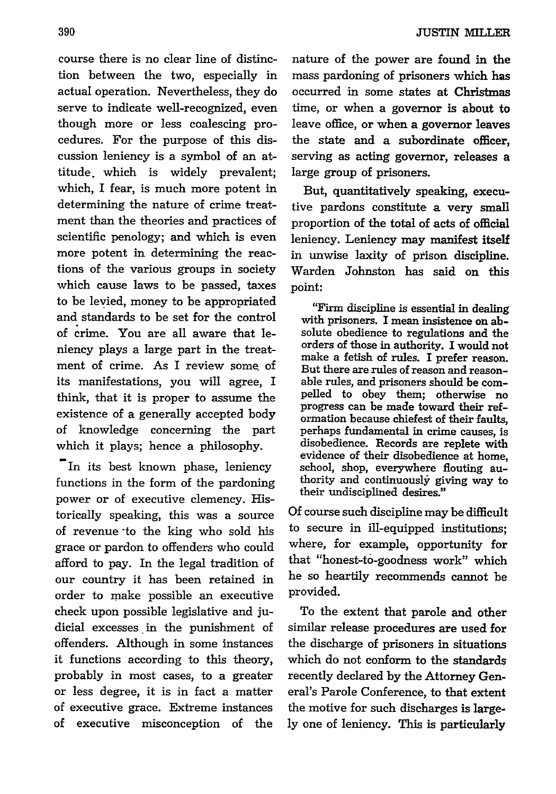course there is no clear line of distinction between the two, especially in actual operation. Nevertheless, they do serve to indicate well-recognized, even though more or less coalescing procedures. For the purpose of this discussion leniency is a symbol of an attitude. which is widely prevalent; which, I fear, is much more potent in determining the nature of crime treatment than the theories and practices of scientific penology; and which is even more potent in determining the reactions of the various groups in society which cause laws to be passed, taxes to be levied, money to be appropriated and standards to be set for the control of crime. You are all aware that leniency plays a large part in the treatment of crime. As I review some of its manifestations, you will agree, I think, that it is proper to assume the existence of a generally accepted body

which it plays; hence a philosophy. In its best known phase, leniency functions in the form of the pardoning power or of executive clemency. Historically speaking, this was a source of revenue -to the king who sold his grace or pardon to offenders who could afford to pay. In the legal tradition of our country it has been retained in order to make possible an executive check upon possible legislative and judicial excesses in the punishment of offenders. Although in some instances it functions according to this theory, probably in most cases, to a greater or less degree, it is in fact a matter of executive grace. Extreme instances

of executive misconception of the

of knowledge concerning the part

nature of the power are found in the mass pardoning of prisoners which has occurred in some states at Christmas time, or when a governor is about to leave office, or when a governor leaves the state and a subordinate officer, serving as acting governor, releases a large group of prisoners.

But, quantitatively speaking, executive pardons constitute a very small proportion of the total of acts of official leniency. Leniency may manifest itself in unwise laxity of prison discipline. Warden Johnston has said on this point:

"Firm discipline is essential in dealing with prisoners. I mean insistence on absolute obedience to regulations and the orders of those in authority. I would not make a fetish of rules. I prefer reason. But there are rules of reason and reasonable rules, and prisoners should be compelled to obey them; otherwise no progress can be made toward their reformation because chiefest of their faults, perhaps fundamental in crime causes, is disobedience. Records are replete with evidence of their disobedience at home, school, shop, everywhere flouting authority and continuously giving way to their undisciplined desires."

Of course such discipline may be difficult to secure in ill-equipped institutions; where, for example, opportunity for that "honest-to-goodness work" which he so heartily recommends cannot be provided.

To the extent that parole and other similar release procedures are used for the discharge of prisoners in situations which do not conform to the standards recently declared by the Attorney General's Parole Conference, to that extent the motive for such discharges is largely one of leniency. This is particularly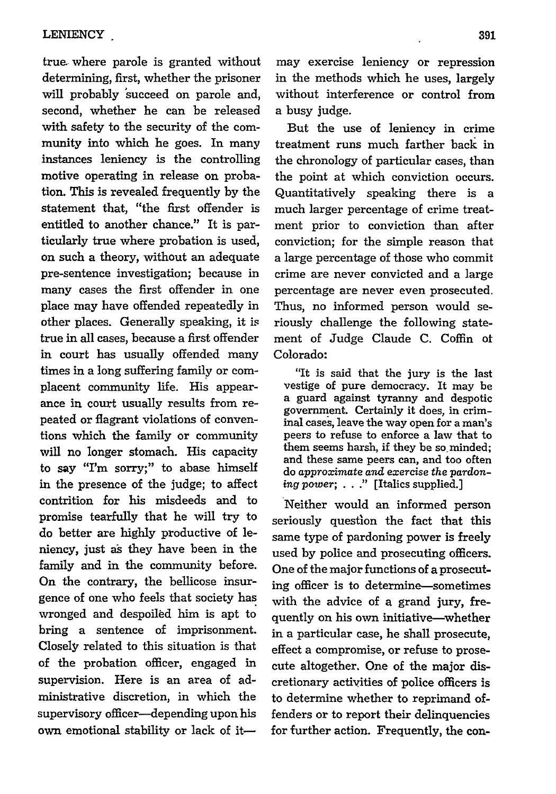true where parole is granted without determining, first, whether the prisoner will probably succeed on parole and, second, whether he can be released with safety to the security of the community into which he goes. In many instances leniency is the controlling motive operating in release on probation. This is revealed frequently by the statement that, "the first offender is entitled to another chance." It is particularly true where probation is used, on such a theory, without an adequate pre-sentence investigation; because in many cases the first offender in one place may have offended repeatedly in other places. Generally speaking, it is true in all cases, because a first offender in court has usually offended many times in a long suffering family or complacent community life. His appearance in court usually results from repeated or flagrant violations of conventions which the family or community will no longer stomach. His capacity to say "I'm sorry;" to abase himself in the presence of the judge; to affect contrition for his misdeeds and to promise tearfully that he will try to do better are highly productive of leniency, just as they have been in the family and in the community before. On the contrary, the bellicose insurgence of one who feels that society has wronged and despoiled him is apt to bring a sentence of imprisonment. Closely related to this situation is that of the probation officer, engaged in supervision. Here is an area of administrative discretion, in which the supervisory officer-depending upon his own emotional stability or lack of it-

may exercise leniency or repression in the methods which he uses, largely without interference or control from a busy judge.

But the use of leniency in crime treatment runs much farther back in the chronology of particular cases, than the point at which conviction occurs. Quantitatively speaking there is a much larger percentage of crime treatment prior to conviction than after conviction; for the simple reason that a large percentage of those who commit crime are never convicted and a large percentage are never even prosecuted. Thus, no informed person would seriously challenge the following statement of Judge Claude C. Coffin ot Colorado:

'It is said that the jury is the last vestige of pure democracy. It may be a guard against tyranny and despotic government. Certainly it does, in criminal cases, leave the way open for a man's peers to refuse to enforce a law that to them seems harsh, if they be so minded; and these same peers can, and too often do *approximate* and exercise *the pardoning power;* . . ." [Italics supplied.]

Neither would an informed person seriously question the fact that this same type of pardoning power is freely used by police and prosecuting officers. One of the major functions of a prosecuting officer is to determine-sometimes with the advice of a grand jury, frequently on his own initiative-whether in a particular case, he shall prosecute, effect a compromise, or refuse to prosecute altogether. One of the major discretionary activities of police officers is to determine whether to reprimand offenders or to report their delinquencies for further action. Frequently, the con-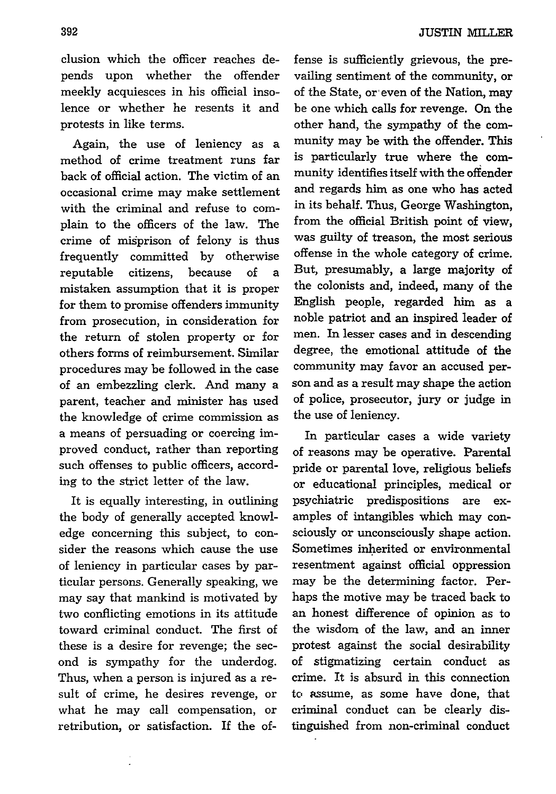clusion which the officer reaches depends upon whether the offender meekly acquiesces in his official insolence or whether he resents it and protests in like terms.

Again, the use of leniency as a method of crime treatment runs far back of official action. The victim of an occasional crime may make settlement with the criminal and refuse to complain to the officers of the law. The crime of misprison of felony is thus frequently committed by otherwise reputable citizens, because of a mistaken assumption that it is proper for them to promise offenders immunity from prosecution, in consideration for the return of stolen property or for others forms of reimbursement. Similar procedures may be followed in the case of an embezzling clerk. And many a parent, teacher and minister has used the knowledge of crime commission as a means of persuading or coercing improved conduct, rather than reporting such offenses to public officers, according to the strict letter of the law.

It is equally interesting, in outlining the body of generally accepted knowledge concerning this subject, to consider the reasons which cause the use of leniency in particular cases by particular persons. Generally speaking, we may say that mankind is motivated by two conflicting emotions in its attitude toward criminal conduct. The first of these is a desire for revenge; the second is sympathy for the underdog. Thus, when a person is injured as a result of crime, he desires revenge, or what he may call compensation, or retribution, or satisfaction. If the of-

fense is sufficiently grievous, the prevailing sentiment of the community, or of the State, or even of the Nation, may be one which calls for revenge. On the other hand, the sympathy of the community may be with the offender. This is particularly true where the community identifies itself with the offender and regards him as one who has acted in its behalf. Thus, George Washington, from the official British point of view, was guilty of treason, the most serious offense in the whole category of crime. But, presumably, a large majority of the colonists and, indeed, many of the English people, regarded him as a noble patriot and an inspired leader of men. In lesser cases and in descending degree, the emotional attitude of the community may favor an accused person and as a result may shape the action of police, prosecutor, jury or judge in the use of leniency.

In particular cases a wide variety of reasons may be operative. Parental pride or parental love, religious beliefs or educational principles, medical or psychiatric predispositions are examples of intangibles which may consciously or unconsciously shape action. Sometimes inherited or environmental resentment against official oppression may be the determining factor. Perhaps the motive may be traced back to an honest difference of opinion as to the wisdom of the law, and an inner protest against the social desirability of stigmatizing certain conduct as crime. It is absurd in this connection to Rssume, as some have done, that criminal conduct can be clearly distinguished from non-criminal conduct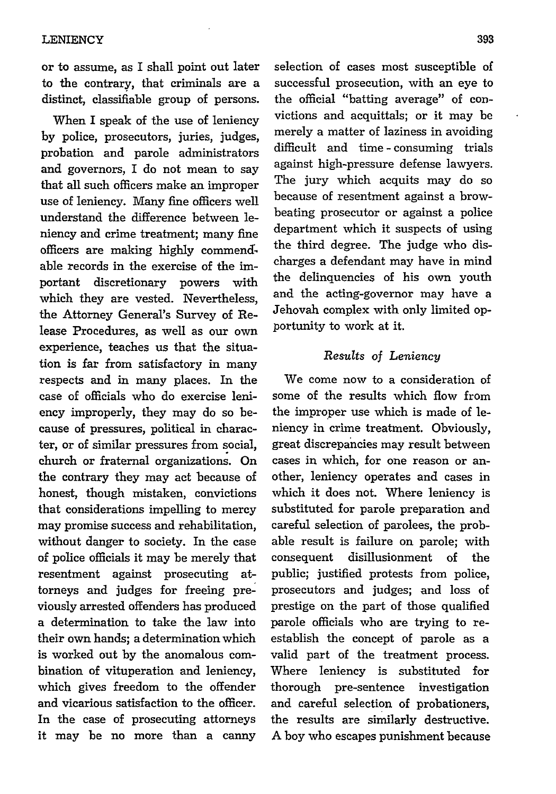or to assume, as I shall point out later to the contrary, that criminals are a distinct, classifiable group of persons.

When I speak of the use of leniency **by** police, prosecutors, juries, judges, probation and parole administrators and governors, I do not mean to say that all such officers make an improper use of leniency. Many fine officers well understand the difference between leniency and crime treatment; many fine officers are making **highly** commendable records in the exercise of the important discretionary powers with which they are vested. Nevertheless, the Attorney General's Survey of Release Procedures, as well as our own experience, teaches us that the situation is far from satisfactory in many respects and in many places. In the case of officials who do exercise leniency improperly, they may do so because of pressures, political in character, or of similar pressures from social, church or fraternal organizations. On the contrary they may act because of honest, though mistaken, convictions that considerations impelling to mercy may promise success and rehabilitation, without danger to society. In the case of police officials it may be merely that resentment against prosecuting attorneys and judges for freeing previously arrested offenders has produced a determination to take the law into their own hands; a determination which is worked out by the anomalous combination of vituperation and leniency, which gives freedom to the offender and vicarious satisfaction to the officer. In the case of prosecuting attorneys it may be no more than a canny

selection of cases most susceptible of successful prosecution, with an eye to the official "batting average" of convictions and acquittals; or it may be merely a matter of laziness in avoiding difficult and time **-** consuming trials against high-pressure defense lawyers. The jury which acquits may do so because of resentment against a browbeating prosecutor or against a police department which it suspects of using the third degree. The judge who discharges a defendant may have in mind the delinquencies of his own youth and the acting-governor may have a Jehovah complex with only limited opportunity to work at it.

#### *Results* of *Leniency*

We come now to a consideration of some of the results which flow from the improper use which is made of leniency in crime treatment. Obviously, great discrepancies may result between cases in which, for one reason or another, leniency operates and cases in which it does not. Where leniency is substituted for parole preparation and careful selection of parolees, the probable result is failure on parole; with consequent disillusionment of the public; justified protests from police, prosecutors and judges; and loss of prestige on the part of those qualified parole officials who are trying to reestablish the concept of parole as a valid part of the treatment process. Where leniency is substituted for thorough pre-sentence investigation and careful selection of probationers, the results are similarly destructive. A boy who escapes punishment because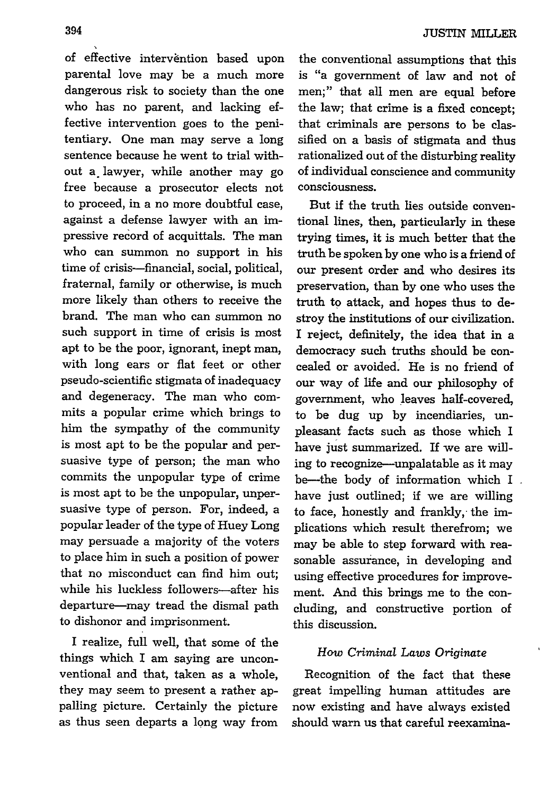of effective intervention based upon parental love may be a much more dangerous risk to society than the one who has no parent, and lacking effective intervention goes to the penitentiary. One man may serve a long sentence because he went to trial without a lawyer, while another may go free because a prosecutor elects not to proceed, in a no more doubtful case, against a defense lawyer with an impressive record of acquittals. The man who can summon no support in his time of crisis-financial, social, political, fraternal, family or otherwise, is much more likely than others to receive the brand. The man who can summon no such support in time of crisis is most apt to be the poor, ignorant, inept man, with long ears or flat feet or other pseudo-scientific stigmata of inadequacy and degeneracy. The man who commits a popular crime which brings to him the sympathy of the community is most apt to be the popular and persuasive type of person; the man who commits the unpopular type of crime is most apt to be the unpopular, unpersuasive type of person. For, indeed, a popular leader of the type of Huey Long may persuade a majority of the voters to place him in such a position of power that no misconduct can find him out; while his luckless followers-after his departure-may tread the dismal path to dishonor and imprisonment.

I realize, full well, that some of the things which I am saying are unconventional and that, taken as a whole, they may seem to present a rather appalling picture. Certainly the picture as thus seen departs a long way from

the conventional assumptions that this is "a government of law and not of men;" that all men are equal before the law; that crime is a fixed concept; that criminals are persons to be classified on a basis of stigmata and thus rationalized out of the disturbing reality of individual conscience and community consciousness.

But if the truth lies outside conventional lines, then, particularly in these trying times, it is much better that the truth be spoken by one who is a friend of our present order and who desires its preservation, than by one who uses the truth to attack, and hopes thus to destroy the institutions of our civilization. I reject, definitely, the idea that in a democracy such truths should be concealed or avoided. He is no friend of our way of life and our philosophy of government, who leaves half-covered, to be dug up by incendiaries, unpleasant facts such as those which I have just summarized. If we are willing to recognize-unpalatable as it may be-the body of information which I have just outlined; if we are willing to face, honestly and frankly, the implications which result therefrom; we may be able to step forward with reasonable assurance, in developing and using effective procedures for improvement. And this brings me to the concluding, and constructive portion of this discussion.

#### *How Criminal Laws Originate*

Recognition of the fact that these great impelling human attitudes are now existing and have always existed should warn us that careful reexamina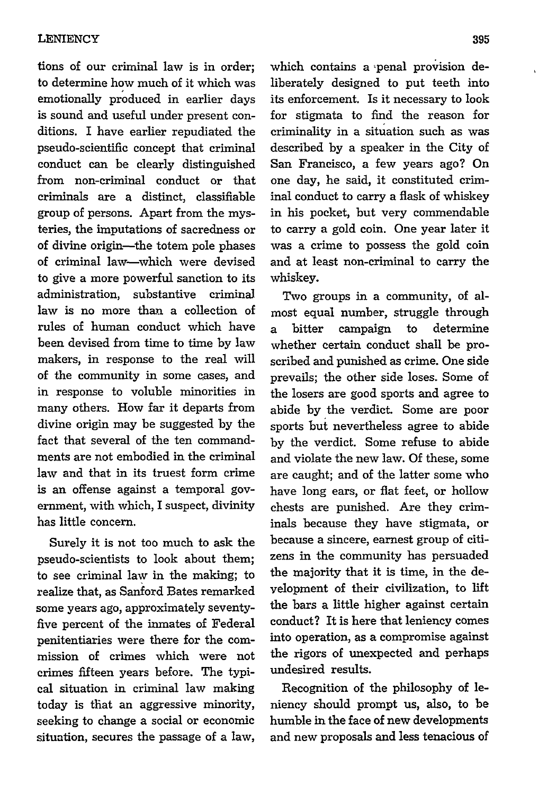tions of our criminal law is in order; to determine how much of it which was emotionally produced in earlier days is sound and useful under present conditions. I have earlier repudiated the pseudo-scientific concept that criminal conduct can be clearly distinguished from non-criminal conduct or that criminals are a distinct, classifiable group of persons. Apart from the mysteries, the imputations of sacredness or of divine origin-the totem pole phases of criminal law-which were devised to give a more powerful sanction to its administration, substantive criminal law is no more than a collection of rules of human conduct which have been devised from time to time by law makers, in response to the real will of the community in some cases, and in response to voluble minorities in many others. How far it departs from divine origin may be suggested by the fact that several of the ten commandments are not embodied in the criminal law and that in its truest form crime is an offense against a temporal government, with which, I suspect, divinity has little concern.

Surely it is not too much to ask the pseudo-scientists to look about them; to see criminal law in the making; to realize that, as Sanford Bates remarked some years ago, approximately seventyfive percent of the inmates of Federal penitentiaries were there for the commission of crimes which were not crimes fifteen years before. The typical situation in criminal law making today is that an aggressive minority, seeking to change a social or economic situation, secures the passage of a law,

which contains a penal provision deliberately designed to put teeth into its enforcement. Is it necessary to look for stigmata to find the reason for criminality in a situation such as was described by a speaker in the City of San Francisco, a few years ago? On one day, he said, it constituted criminal conduct to carry a flask of whiskey in his pocket, but very commendable to carry a gold coin. One year later it was a crime to possess the gold coin and at least non-criminal to carry the whiskey.

Two groups in a community, of almost equal number, struggle through a bitter campaign to determine whether certain conduct shall be proscribed and punished as crime. One side prevails; the other side loses. Some of the losers are good sports and agree to abide by the verdict. Some are poor sports but nevertheless agree to abide by the verdict. Some refuse to abide and violate the new law. Of these, some are caught; and of the latter some who have long ears, or flat feet, or hollow chests are punished. Are they criminals because they have stigmata, or because a sincere, earnest group of citizens in the community has persuaded the majority that it is time, in the development of their civilization, to lift the bars a little higher against certain conduct? It is here that leniency comes into operation, as a compromise against the rigors of unexpected and perhaps undesired results.

Recognition of the philosophy of leniency should prompt us, also, to be humble in the face of new developments and new proposals and less tenacious of